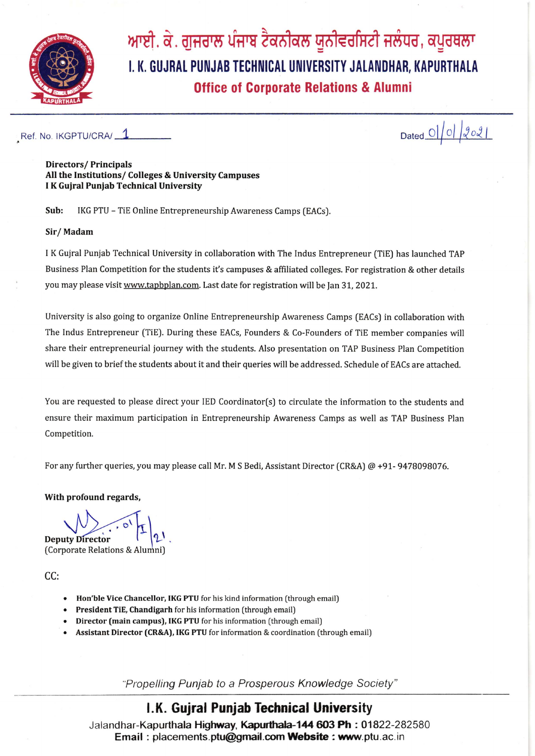

ਆਈ. ਕੇ. ਗੁਜਰਾਲ ਪੰਜਾਬ ਟੈਕਨੀਕਲ ਯੂਨੀਵਰਸਿਟੀ ਜਲੰਧਰ, ਕਪੂਰਥਲਾ I. K. GUJRAL PUNJAB TECHNICAL UNIVERSITY JALANDHAR, KAPURTHALA **Office of Corporate Relations & Alumni** 

Ref. No. IKGPTU/CRA/ 1

Dated  $O(|O|)$  2021

**Directors/Principals** All the Institutions/ Colleges & University Campuses I K Gujral Punjab Technical University

Sub: IKG PTU - TiE Online Entrepreneurship Awareness Camps (EACs).

## Sir/Madam

I K Gujral Punjab Technical University in collaboration with The Indus Entrepreneur (TiE) has launched TAP Business Plan Competition for the students it's campuses & affiliated colleges. For registration & other details you may please visit www.tapbplan.com. Last date for registration will be Jan 31, 2021.

University is also going to organize Online Entrepreneurship Awareness Camps (EACs) in collaboration with The Indus Entrepreneur (TiE). During these EACs, Founders & Co-Founders of TiE member companies will share their entrepreneurial journey with the students. Also presentation on TAP Business Plan Competition will be given to brief the students about it and their queries will be addressed. Schedule of EACs are attached.

You are requested to please direct your IED Coordinator(s) to circulate the information to the students and ensure their maximum participation in Entrepreneurship Awareness Camps as well as TAP Business Plan Competition.

For any further queries, you may please call Mr. M S Bedi, Assistant Director (CR&A) @ +91- 9478098076.

With profound regards,

**Deputy Director** 

(Corporate Relations & Alumni)

CC:

- Hon'ble Vice Chancellor, IKG PTU for his kind information (through email)
- President TiE, Chandigarh for his information (through email)
- Director (main campus), IKG PTU for his information (through email)
- Assistant Director (CR&A), IKG PTU for information & coordination (through email)

"Propelling Punjab to a Prosperous Knowledge Society"

## I.K. Gujral Punjab Technical University

Jalandhar-Kapurthala Highway, Kapurthala-144 603 Ph: 01822-282580 Email: placements.ptu@gmail.com Website: www.ptu.ac.in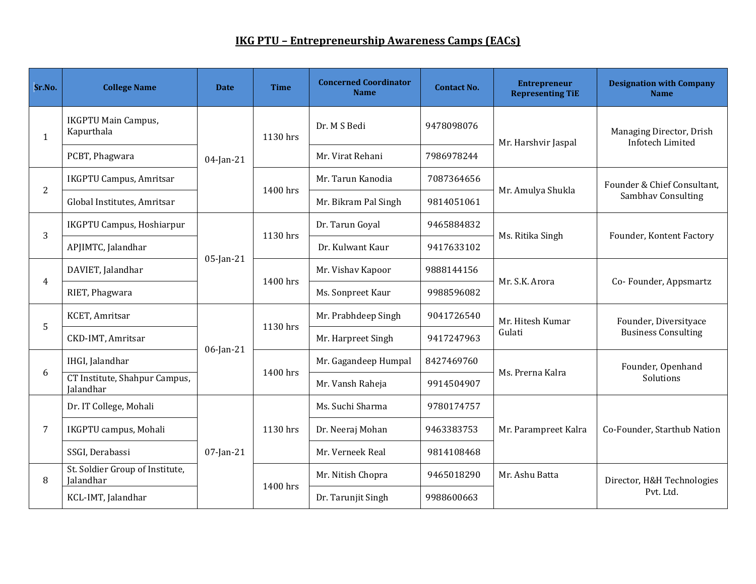## **IKG PTU – Entrepreneurship Awareness Camps (EACs)**

| Sr.No.         | <b>College Name</b>                          | <b>Date</b>  | <b>Time</b> | <b>Concerned Coordinator</b><br><b>Name</b> | <b>Contact No.</b> | <b>Entrepreneur</b><br><b>Representing TiE</b> | <b>Designation with Company</b><br><b>Name</b>      |
|----------------|----------------------------------------------|--------------|-------------|---------------------------------------------|--------------------|------------------------------------------------|-----------------------------------------------------|
| $\mathbf{1}$   | <b>IKGPTU Main Campus,</b><br>Kapurthala     | $04$ -Jan-21 | 1130 hrs    | Dr. M S Bedi                                | 9478098076         | Mr. Harshvir Jaspal                            | Managing Director, Drish<br>Infotech Limited        |
|                | PCBT, Phagwara                               |              |             | Mr. Virat Rehani                            | 7986978244         |                                                |                                                     |
| $\overline{2}$ | <b>IKGPTU Campus, Amritsar</b>               |              | 1400 hrs    | Mr. Tarun Kanodia                           | 7087364656         | Mr. Amulya Shukla                              | Founder & Chief Consultant,<br>Sambhav Consulting   |
|                | Global Institutes, Amritsar                  |              |             | Mr. Bikram Pal Singh                        | 9814051061         |                                                |                                                     |
| 3              | <b>IKGPTU Campus, Hoshiarpur</b>             | $05$ -Jan-21 | 1130 hrs    | Dr. Tarun Goyal                             | 9465884832         | Ms. Ritika Singh                               | Founder, Kontent Factory                            |
|                | APJIMTC, Jalandhar                           |              |             | Dr. Kulwant Kaur                            | 9417633102         |                                                |                                                     |
| $\overline{4}$ | DAVIET, Jalandhar                            |              | 1400 hrs    | Mr. Vishav Kapoor                           | 9888144156         | Mr. S.K. Arora                                 | Co-Founder, Appsmartz                               |
|                | RIET, Phagwara                               |              |             | Ms. Sonpreet Kaur                           | 9988596082         |                                                |                                                     |
| 5              | KCET, Amritsar                               | $06$ -Jan-21 | 1130 hrs    | Mr. Prabhdeep Singh                         | 9041726540         | Mr. Hitesh Kumar<br>Gulati                     | Founder, Diversityace<br><b>Business Consulting</b> |
|                | CKD-IMT, Amritsar                            |              |             | Mr. Harpreet Singh                          | 9417247963         |                                                |                                                     |
| 6              | IHGI, Jalandhar                              |              | 1400 hrs    | Mr. Gagandeep Humpal                        | 8427469760         | Ms. Prerna Kalra                               | Founder, Openhand<br>Solutions                      |
|                | CT Institute, Shahpur Campus,<br>Jalandhar   |              |             | Mr. Vansh Raheja                            | 9914504907         |                                                |                                                     |
| 7              | Dr. IT College, Mohali                       | $07$ -Jan-21 | 1130 hrs    | Ms. Suchi Sharma                            | 9780174757         | Mr. Parampreet Kalra                           | Co-Founder, Starthub Nation                         |
|                | IKGPTU campus, Mohali                        |              |             | Dr. Neeraj Mohan                            | 9463383753         |                                                |                                                     |
|                | SSGI, Derabassi                              |              |             | Mr. Verneek Real                            | 9814108468         |                                                |                                                     |
| 8              | St. Soldier Group of Institute,<br>Jalandhar |              | 1400 hrs    | Mr. Nitish Chopra                           | 9465018290         | Mr. Ashu Batta                                 | Director, H&H Technologies<br>Pvt. Ltd.             |
|                | KCL-IMT, Jalandhar                           |              |             | Dr. Tarunjit Singh                          | 9988600663         |                                                |                                                     |